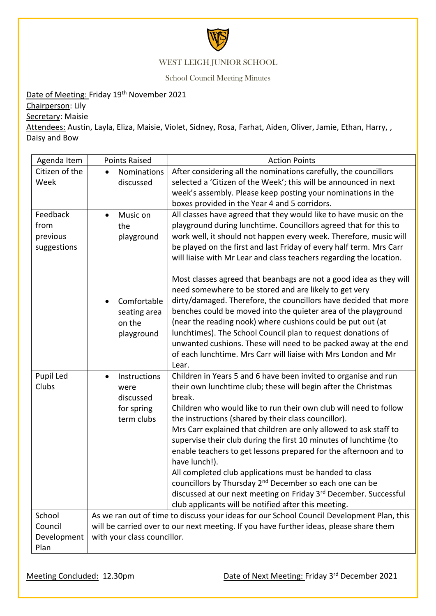

## WEST LEIGH JUNIOR SCHOOL

School Council Meeting Minutes

## Date of Meeting: Friday 19<sup>th</sup> November 2021

Chairperson: Lily

Secretary: Maisie

Attendees: Austin, Layla, Eliza, Maisie, Violet, Sidney, Rosa, Farhat, Aiden, Oliver, Jamie, Ethan, Harry, , Daisy and Bow

| Agenda Item                                 | <b>Points Raised</b>                                                                                                                                                                                               | <b>Action Points</b>                                                                                                                                                                                                                                                                                                                                                                                                                                                                                                                                                                                                                                                                                                                                                  |
|---------------------------------------------|--------------------------------------------------------------------------------------------------------------------------------------------------------------------------------------------------------------------|-----------------------------------------------------------------------------------------------------------------------------------------------------------------------------------------------------------------------------------------------------------------------------------------------------------------------------------------------------------------------------------------------------------------------------------------------------------------------------------------------------------------------------------------------------------------------------------------------------------------------------------------------------------------------------------------------------------------------------------------------------------------------|
| Citizen of the<br>Week                      | Nominations<br>discussed                                                                                                                                                                                           | After considering all the nominations carefully, the councillors<br>selected a 'Citizen of the Week'; this will be announced in next<br>week's assembly. Please keep posting your nominations in the<br>boxes provided in the Year 4 and 5 corridors.                                                                                                                                                                                                                                                                                                                                                                                                                                                                                                                 |
| Feedback<br>from<br>previous<br>suggestions | Music on<br>$\bullet$<br>the<br>playground                                                                                                                                                                         | All classes have agreed that they would like to have music on the<br>playground during lunchtime. Councillors agreed that for this to<br>work well, it should not happen every week. Therefore, music will<br>be played on the first and last Friday of every half term. Mrs Carr<br>will liaise with Mr Lear and class teachers regarding the location.                                                                                                                                                                                                                                                                                                                                                                                                              |
|                                             | Comfortable<br>seating area<br>on the<br>playground                                                                                                                                                                | Most classes agreed that beanbags are not a good idea as they will<br>need somewhere to be stored and are likely to get very<br>dirty/damaged. Therefore, the councillors have decided that more<br>benches could be moved into the quieter area of the playground<br>(near the reading nook) where cushions could be put out (at<br>lunchtimes). The School Council plan to request donations of<br>unwanted cushions. These will need to be packed away at the end<br>of each lunchtime. Mrs Carr will liaise with Mrs London and Mr<br>Lear.                                                                                                                                                                                                                       |
| Pupil Led<br>Clubs                          | Instructions<br>$\bullet$<br>were<br>discussed<br>for spring<br>term clubs                                                                                                                                         | Children in Years 5 and 6 have been invited to organise and run<br>their own lunchtime club; these will begin after the Christmas<br>break.<br>Children who would like to run their own club will need to follow<br>the instructions (shared by their class councillor).<br>Mrs Carr explained that children are only allowed to ask staff to<br>supervise their club during the first 10 minutes of lunchtime (to<br>enable teachers to get lessons prepared for the afternoon and to<br>have lunch!).<br>All completed club applications must be handed to class<br>councillors by Thursday 2 <sup>nd</sup> December so each one can be<br>discussed at our next meeting on Friday 3rd December. Successful<br>club applicants will be notified after this meeting. |
| School<br>Council<br>Development<br>Plan    | As we ran out of time to discuss your ideas for our School Council Development Plan, this<br>will be carried over to our next meeting. If you have further ideas, please share them<br>with your class councillor. |                                                                                                                                                                                                                                                                                                                                                                                                                                                                                                                                                                                                                                                                                                                                                                       |

Meeting Concluded: 12.30pm Date of Next Meeting: Friday 3<sup>rd</sup> December 2021